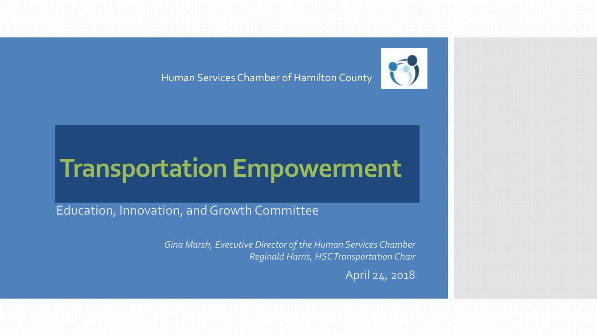Human Services Chamber of Hamilton County



## **Transportation Empowerment**

Education, Innovation, and Growth Committee

*Gina Marsh, Executive Director of the Human Services Chamber Reginald Harris, HSC Transportation Chair*

April 24, 2018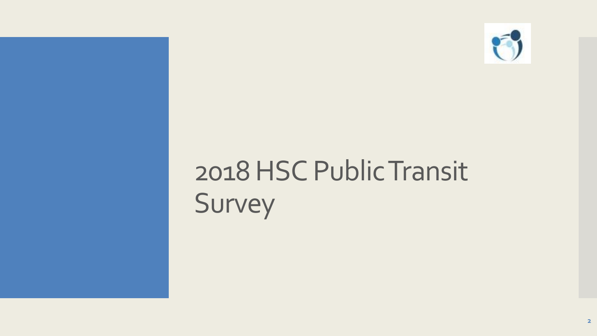

# 2018 HSC Public Transit Survey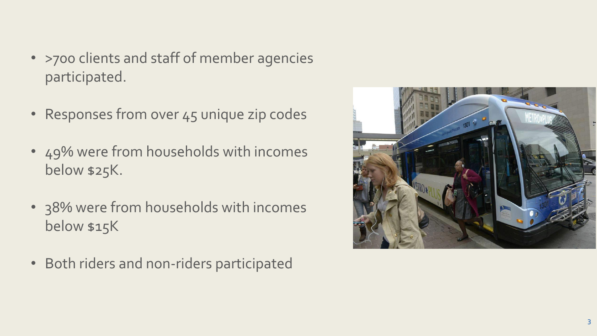- >700 clients and staff of member agencies participated.
- Responses from over 45 unique zip codes
- 49% were from households with incomes below \$25K.
- 38% were from households with incomes below \$15K
- Both riders and non-riders participated

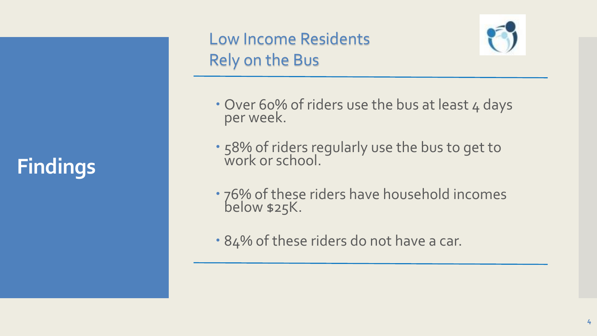## **Findings**

### Low Income Residents Rely on the Bus



- Over 60% of riders use the bus at least 4 days per week.
- 58% of riders regularly use the bus to get to work or school.
- 76% of these riders have household incomes below \$25K.
- 84% of these riders do not have a car.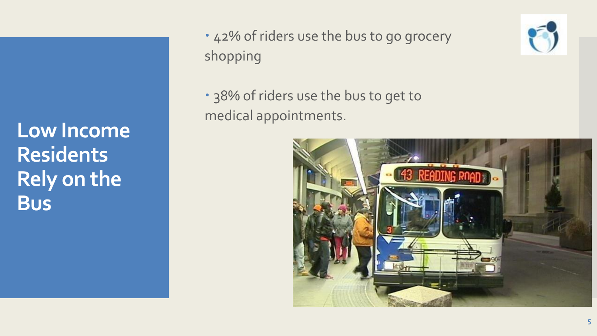**Low Income Residents Rely on the Bus**

- 42% of riders use the bus to go grocery shopping
- 38% of riders use the bus to get to medical appointments.



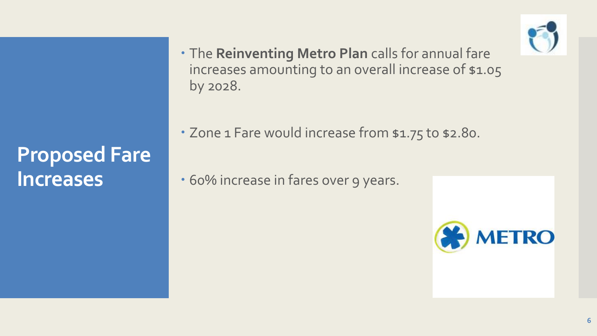

### **Proposed Fare Increases**

 The **Reinventing Metro Plan** calls for annual fare increases amounting to an overall increase of \$1.05 by 2028.

• Zone 1 Fare would increase from \$1.75 to \$2.80.

• 60% increase in fares over 9 years.

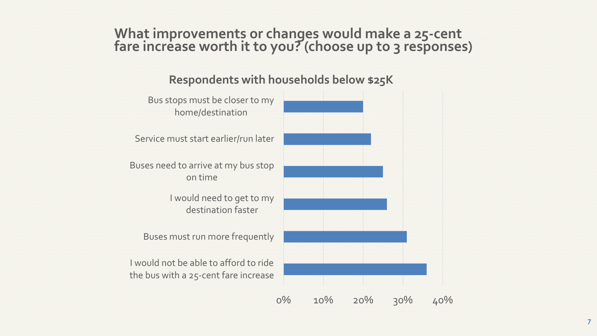#### **What improvements or changes would make a 25-cent fare increase worth it to you? (choose up to 3 responses)**

#### **Respondents with households below \$25K**

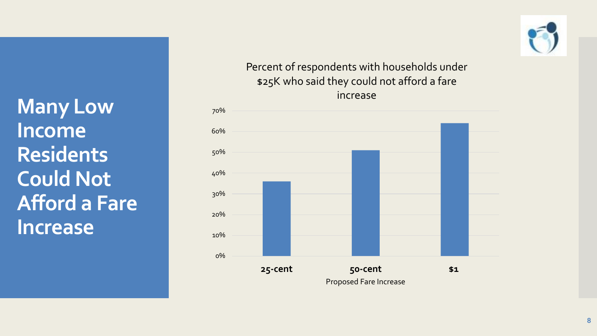**Many Low Income Residents Could Not Afford a Fare Increase**



#### Percent of respondents with households under \$25K who said they could not afford a fare increase

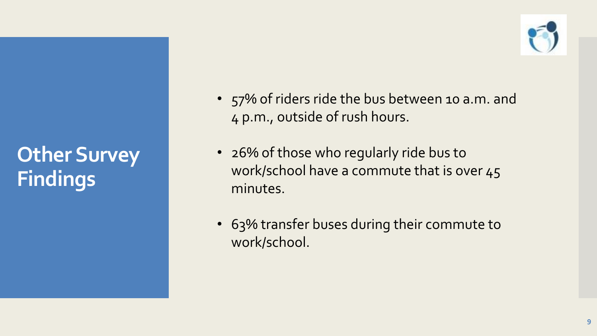## **Other Survey Findings**



- 57% of riders ride the bus between 10 a.m. and 4 p.m., outside of rush hours.
- 26% of those who regularly ride bus to work/school have a commute that is over 45 minutes.
- 63% transfer buses during their commute to work/school.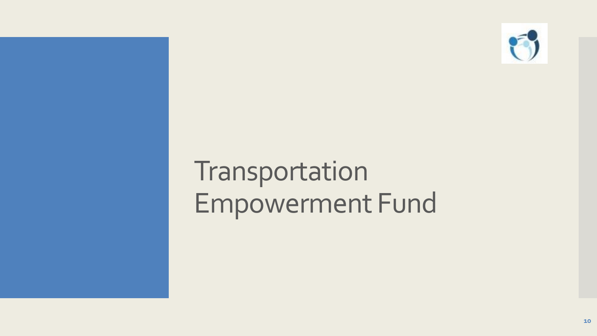

# Transportation Empowerment Fund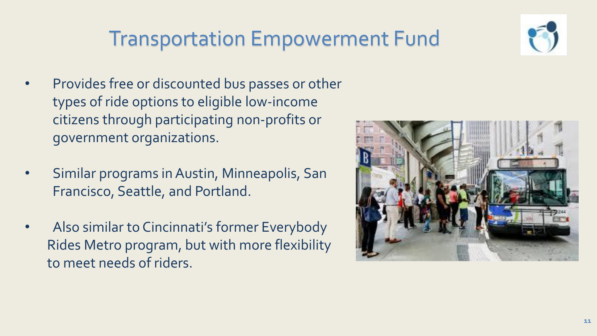### Transportation Empowerment Fund

- Provides free or discounted bus passes or other types of ride options to eligible low-income citizens through participating non-profits or government organizations.
- Similar programs in Austin, Minneapolis, San Francisco, Seattle, and Portland.
- Also similar to Cincinnati's former Everybody Rides Metro program, but with more flexibility to meet needs of riders.



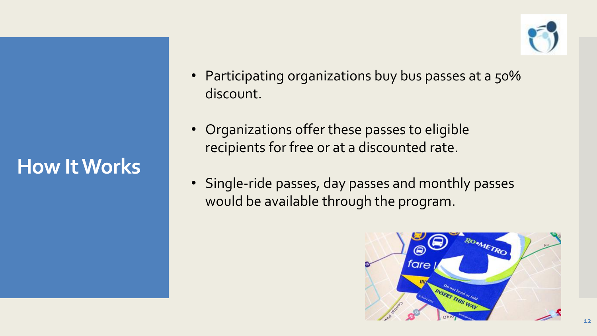**How It Works**

- Participating organizations buy bus passes at a 50% discount.
- Organizations offer these passes to eligible recipients for free or at a discounted rate.
- Single-ride passes, day passes and monthly passes would be available through the program.

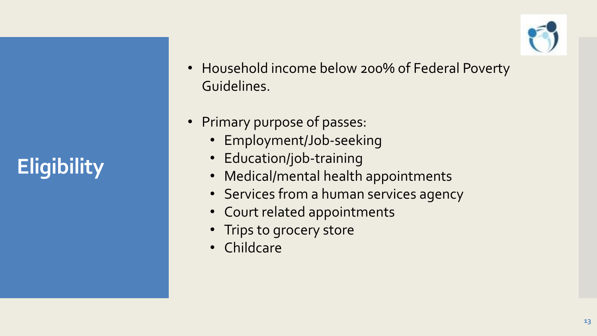## **Eligibility**

- Household income below 200% of Federal Poverty Guidelines.
- Primary purpose of passes:
	- Employment/Job-seeking
	- Education/job-training
	- Medical/mental health appointments
	- Services from a human services agency
	- Court related appointments
	- Trips to grocery store
	- Childcare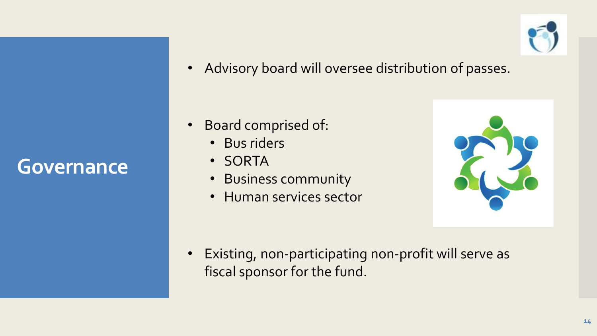### **Governance**

• Advisory board will oversee distribution of passes.

- Board comprised of:
	- Bus riders
	- SORTA
	- Business community
	- Human services sector



• Existing, non-participating non-profit will serve as fiscal sponsor for the fund.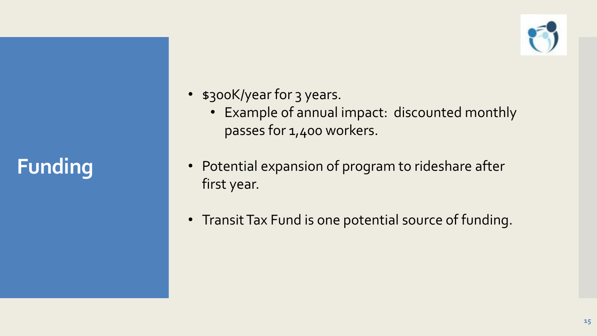**Funding**



- s300K/year for 3 years.
	- Example of annual impact: discounted monthly passes for 1,400 workers.
- Potential expansion of program to rideshare after first year.
- Transit Tax Fund is one potential source of funding.